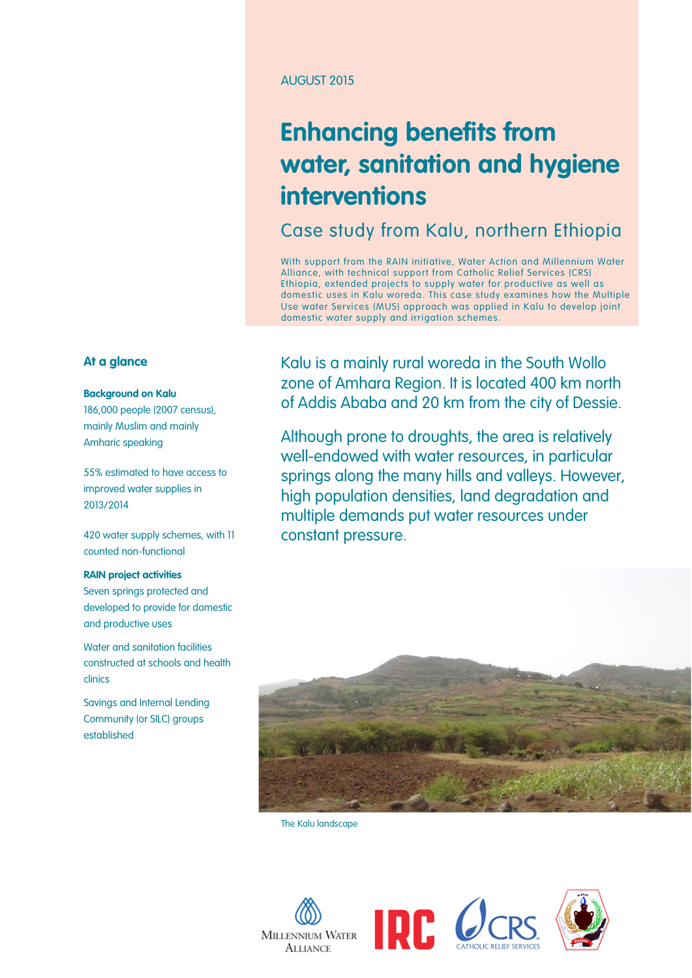#### AUGUST 2015

# **Enhancing benefits from water, sanitation and hygiene interventions**

Case study from Kalu, northern Ethiopia

With support from the RAIN initiative, Water Action and Millennium Water Alliance, with technical support from Catholic Relief Services (CRS) Ethiopia, extended projects to supply water for productive as well as domestic uses in Kalu woreda. This case study examines how the Multiple Use water Services (MUS) approach was applied in Kalu to develop joint domestic water supply and irrigation schemes.

Kalu is a mainly rural woreda in the South Wollo zone of Amhara Region. It is located 400 km north of Addis Ababa and 20 km from the city of Dessie.

Although prone to droughts, the area is relatively well-endowed with water resources, in particular springs along the many hills and valleys. However, high population densities, land degradation and multiple demands put water resources under constant pressure.



The Kalu landscape









#### **At a glance**

#### **Background on Kalu**

186,000 people (2007 census), mainly Muslim and mainly Amharic speaking

55% estimated to have access to improved water supplies in 2013/2014

420 water supply schemes, with 11 counted non-functional

#### **RAIN project activities**

Seven springs protected and developed to provide for domestic and productive uses

Water and sanitation facilities constructed at schools and health clinics

Savings and Internal Lending Community (or SILC) groups established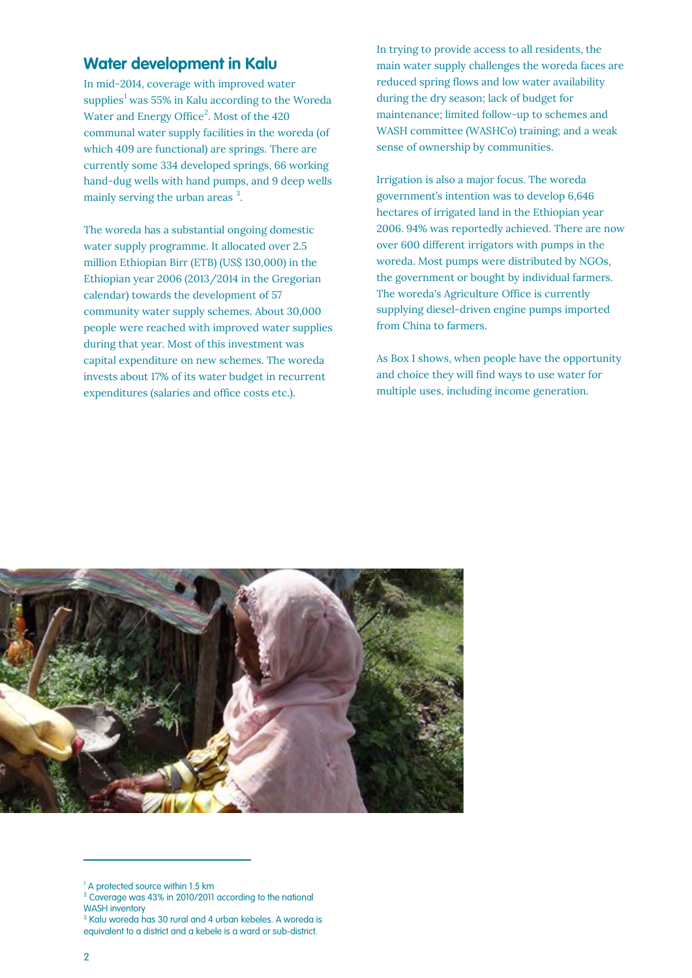## **Water development in Kalu**

In mid-2014, coverage with improved water supplies<sup>[1](#page-1-0)</sup> was 55% in Kalu according to the Woreda Water and Energy Office<sup>[2](#page-1-1)</sup>. Most of the  $420$ communal water supply facilities in the woreda (of which 409 are functional) are springs. There are currently some 334 developed springs, 66 working hand-dug wells with hand pumps, and 9 deep wells mainly serving the urban areas<sup>[3](#page-1-2)</sup>.

The woreda has a substantial ongoing domestic water supply programme. It allocated over 2.5 million Ethiopian Birr (ETB) (US\$ 130,000) in the Ethiopian year 2006 (2013/2014 in the Gregorian calendar) towards the development of 57 community water supply schemes. About 30,000 people were reached with improved water supplies during that year. Most of this investment was capital expenditure on new schemes. The woreda invests about 17% of its water budget in recurrent expenditures (salaries and office costs etc.).

In trying to provide access to all residents, the main water supply challenges the woreda faces are reduced spring flows and low water availability during the dry season; lack of budget for maintenance; limited follow-up to schemes and WASH committee (WASHCo) training; and a weak sense of ownership by communities.

Irrigation is also a major focus. The woreda government's intention was to develop 6,646 hectares of irrigated land in the Ethiopian year 2006. 94% was reportedly achieved. There are now over 600 different irrigators with pumps in the woreda. Most pumps were distributed by NGOs, the government or bought by individual farmers. The woreda's Agriculture Office is currently supplying diesel-driven engine pumps imported from China to farmers.

As Box 1 shows, when people have the opportunity and choice they will find ways to use water for multiple uses, including income generation.



<span id="page-1-2"></span><sup>3</sup> Kalu woreda has 30 rural and 4 urban kebeles. A woreda is equivalent to a district and a kebele is a ward or sub-district.

 $\overline{a}$ 

<sup>&</sup>lt;sup>1</sup> A protected source within 1.5 km

<span id="page-1-1"></span><span id="page-1-0"></span><sup>2</sup> Coverage was 43% in 2010/2011 according to the national WASH inventory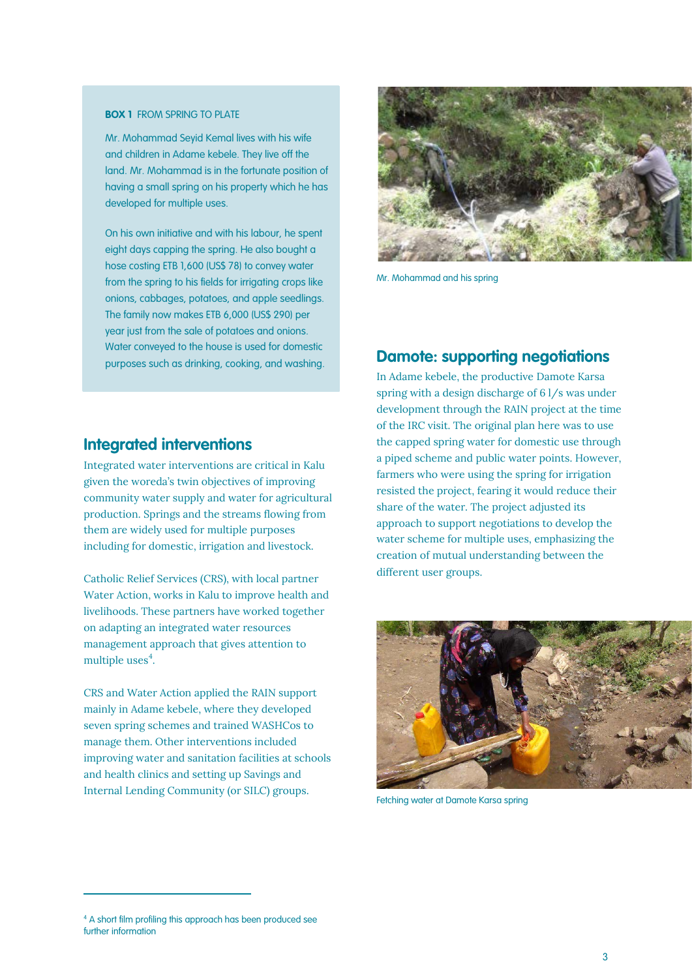#### **BOX 1** FROM SPRING TO PLATE

Mr. Mohammad Seyid Kemal lives with his wife and children in Adame kebele. They live off the land. Mr. Mohammad is in the fortunate position of having a small spring on his property which he has developed for multiple uses.

On his own initiative and with his labour, he spent eight days capping the spring. He also bought a hose costing ETB 1,600 (US\$ 78) to convey water from the spring to his fields for irrigating crops like onions, cabbages, potatoes, and apple seedlings. The family now makes ETB 6,000 (US\$ 290) per year just from the sale of potatoes and onions. Water conveyed to the house is used for domestic purposes such as drinking, cooking, and washing.



**Integrated interventions**

Integrated water interventions are critical in Kalu given the woreda's twin objectives of improving community water supply and water for agricultural production. Springs and the streams flowing from them are widely used for multiple purposes including for domestic, irrigation and livestock.

Catholic Relief Services (CRS), with local partner Water Action, works in Kalu to improve health and livelihoods. These partners have worked together on adapting an integrated water resources management approach that gives attention to multiple uses $4$ .

CRS and Water Action applied the RAIN support mainly in Adame kebele, where they developed seven spring schemes and trained WASHCos to manage them. Other interventions included improving water and sanitation facilities at schools and health clinics and setting up Savings and Internal Lending Community (or SILC) groups.



Mr. Mohammad and his spring

## **Damote: supporting negotiations**

In Adame kebele, the productive Damote Karsa spring with a design discharge of 6 l/s was under development through the RAIN project at the time of the IRC visit. The original plan here was to use the capped spring water for domestic use through a piped scheme and public water points. However, farmers who were using the spring for irrigation resisted the project, fearing it would reduce their share of the water. The project adjusted its approach to support negotiations to develop the water scheme for multiple uses, emphasizing the creation of mutual understanding between the different user groups.



Fetching water at Damote Karsa spring

 $\overline{a}$ 

<span id="page-2-0"></span><sup>&</sup>lt;sup>4</sup> A short film profiling this approach has been produced see further information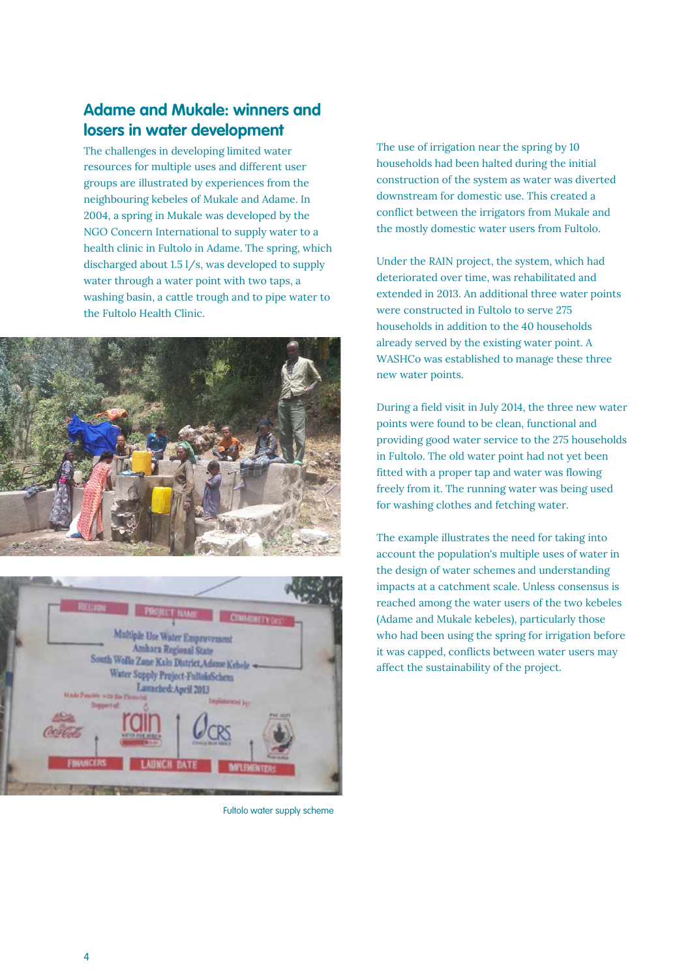# **Adame and Mukale: winners and losers in water development**

The challenges in developing limited water resources for multiple uses and different user groups are illustrated by experiences from the neighbouring kebeles of Mukale and Adame. In 2004, a spring in Mukale was developed by the NGO Concern International to supply water to a health clinic in Fultolo in Adame. The spring, which discharged about 1.5 l/s, was developed to supply water through a water point with two taps, a washing basin, a cattle trough and to pipe water to the Fultolo Health Clinic.





Fultolo water supply scheme

The use of irrigation near the spring by 10 households had been halted during the initial construction of the system as water was diverted downstream for domestic use. This created a conflict between the irrigators from Mukale and the mostly domestic water users from Fultolo.

Under the RAIN project, the system, which had deteriorated over time, was rehabilitated and extended in 2013. An additional three water points were constructed in Fultolo to serve 275 households in addition to the 40 households already served by the existing water point. A WASHCo was established to manage these three new water points.

During a field visit in July 2014, the three new water points were found to be clean, functional and providing good water service to the 275 households in Fultolo. The old water point had not yet been fitted with a proper tap and water was flowing freely from it. The running water was being used for washing clothes and fetching water.

The example illustrates the need for taking into account the population's multiple uses of water in the design of water schemes and understanding impacts at a catchment scale. Unless consensus is reached among the water users of the two kebeles (Adame and Mukale kebeles), particularly those who had been using the spring for irrigation before it was capped, conflicts between water users may affect the sustainability of the project.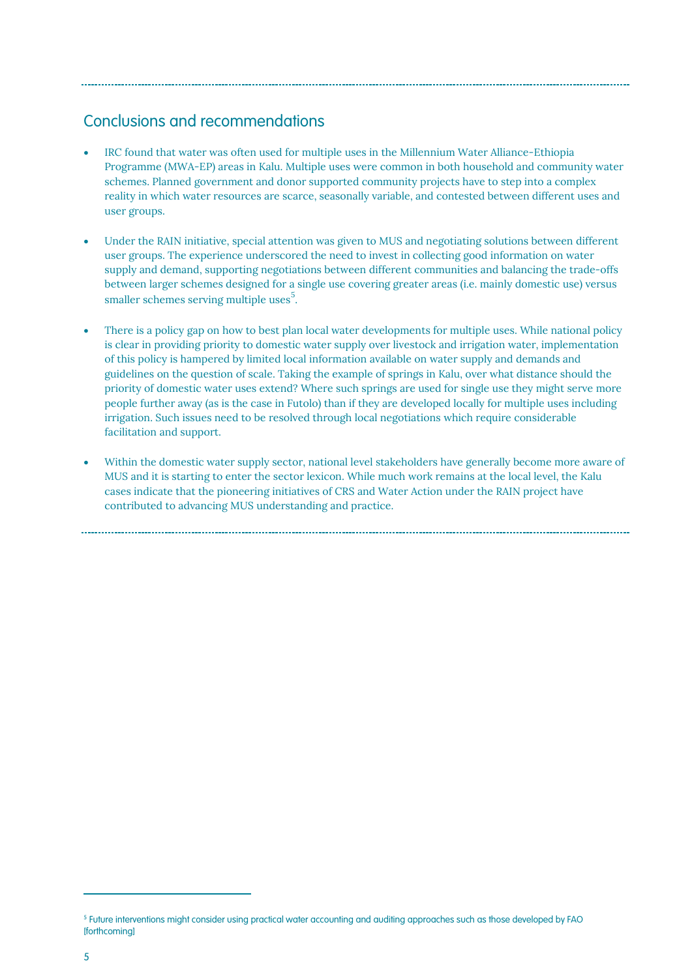# Conclusions and recommendations

- IRC found that water was often used for multiple uses in the Millennium Water Alliance-Ethiopia Programme (MWA-EP) areas in Kalu. Multiple uses were common in both household and community water schemes. Planned government and donor supported community projects have to step into a complex reality in which water resources are scarce, seasonally variable, and contested between different uses and user groups.
- Under the RAIN initiative, special attention was given to MUS and negotiating solutions between different user groups. The experience underscored the need to invest in collecting good information on water supply and demand, supporting negotiations between different communities and balancing the trade-offs between larger schemes designed for a single use covering greater areas (i.e. mainly domestic use) versus smaller schemes serving multiple uses<sup>[5](#page-4-0)</sup>.
- There is a policy gap on how to best plan local water developments for multiple uses. While national policy is clear in providing priority to domestic water supply over livestock and irrigation water, implementation of this policy is hampered by limited local information available on water supply and demands and guidelines on the question of scale. Taking the example of springs in Kalu, over what distance should the priority of domestic water uses extend? Where such springs are used for single use they might serve more people further away (as is the case in Futolo) than if they are developed locally for multiple uses including irrigation. Such issues need to be resolved through local negotiations which require considerable facilitation and support.
- Within the domestic water supply sector, national level stakeholders have generally become more aware of MUS and it is starting to enter the sector lexicon. While much work remains at the local level, the Kalu cases indicate that the pioneering initiatives of CRS and Water Action under the RAIN project have contributed to advancing MUS understanding and practice.

 $\overline{a}$ 

<span id="page-4-0"></span><sup>5</sup> Future interventions might consider using practical water accounting and auditing approaches such as those developed by FAO [forthcoming]